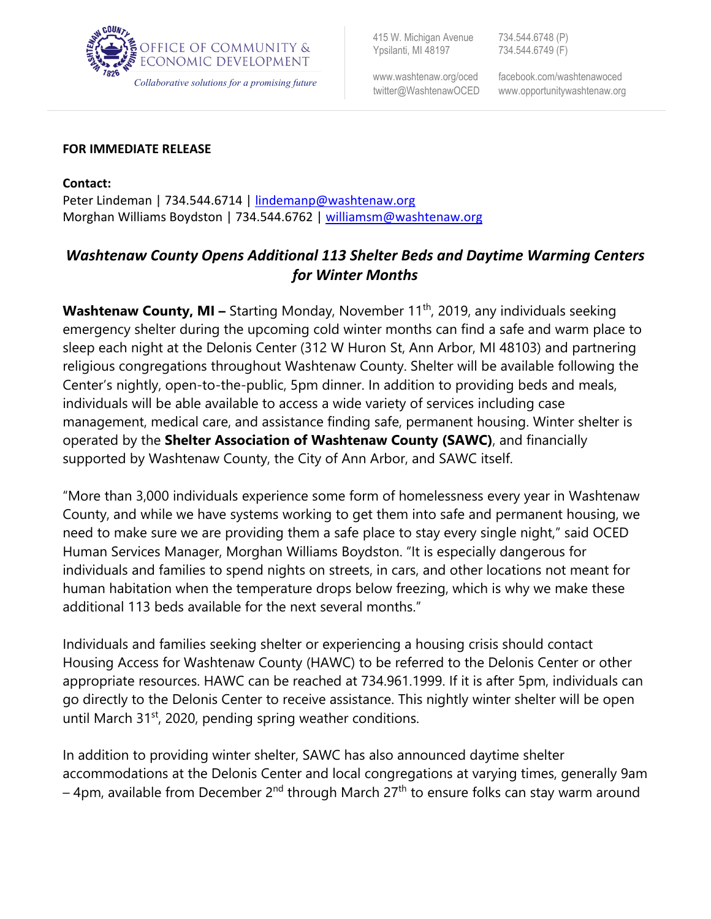

415 W. Michigan Avenue 734.544.6748 (P) Ypsilanti, MI 48197 734.544.6749 (F)

ww[w.washtenaw.org/oced](http://www.ewashtenaw.org/oced) facebook.com/washtenawoced

## **FOR IMMEDIATE RELEASE**

**Contact:** Peter Lindeman | 734.544.6714 | [lindemanp@washtenaw.org](mailto:lindemanp@washtenaw.org) Morghan Williams Boydston | 734.544.6762 | [williamsm@washtenaw.org](mailto:williamsm@washtenaw.org)

## *Washtenaw County Opens Additional 113 Shelter Beds and Daytime Warming Centers for Winter Months*

**Washtenaw County, MI –** Starting Monday, November 11<sup>th</sup>, 2019, any individuals seeking emergency shelter during the upcoming cold winter months can find a safe and warm place to sleep each night at the Delonis Center (312 W Huron St, Ann Arbor, MI 48103) and partnering religious congregations throughout Washtenaw County. Shelter will be available following the Center's nightly, open-to-the-public, 5pm dinner. In addition to providing beds and meals, individuals will be able available to access a wide variety of services including case management, medical care, and assistance finding safe, permanent housing. Winter shelter is operated by the **Shelter Association of Washtenaw County (SAWC)**, and financially supported by Washtenaw County, the City of Ann Arbor, and SAWC itself.

"More than 3,000 individuals experience some form of homelessness every year in Washtenaw County, and while we have systems working to get them into safe and permanent housing, we need to make sure we are providing them a safe place to stay every single night," said OCED Human Services Manager, Morghan Williams Boydston. "It is especially dangerous for individuals and families to spend nights on streets, in cars, and other locations not meant for human habitation when the temperature drops below freezing, which is why we make these additional 113 beds available for the next several months."

Individuals and families seeking shelter or experiencing a housing crisis should contact Housing Access for Washtenaw County (HAWC) to be referred to the Delonis Center or other appropriate resources. HAWC can be reached at 734.961.1999. If it is after 5pm, individuals can go directly to the Delonis Center to receive assistance. This nightly winter shelter will be open until March  $31<sup>st</sup>$ , 2020, pending spring weather conditions.

In addition to providing winter shelter, SAWC has also announced daytime shelter accommodations at the Delonis Center and local congregations at varying times, generally 9am  $-$  4pm, available from December 2<sup>nd</sup> through March 27<sup>th</sup> to ensure folks can stay warm around